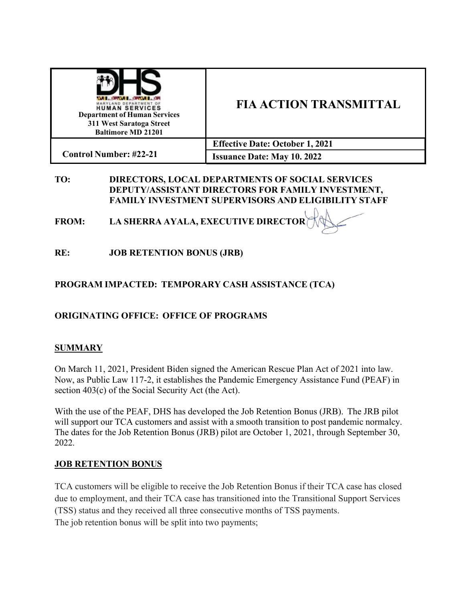| <b>WELL-BROWN REPORT FOR</b><br>MARYLAND DEPARTMENT OF<br><b>HUMAN SERVICES</b><br><b>Department of Human Services</b><br>311 West Saratoga Street<br><b>Baltimore MD 21201</b> | <b>FIA ACTION TRANSMITTAL</b>          |
|---------------------------------------------------------------------------------------------------------------------------------------------------------------------------------|----------------------------------------|
|                                                                                                                                                                                 | <b>Effective Date: October 1, 2021</b> |
| <b>Control Number: #22-21</b>                                                                                                                                                   | <b>Issuance Date: May 10. 2022</b>     |

### **TO: DIRECTORS, LOCAL DEPARTMENTS OF SOCIAL SERVICES DEPUTY/ASSISTANT DIRECTORS FOR FAMILY INVESTMENT, FAMILY INVESTMENT SUPERVISORS AND ELIGIBILITY STAFF**

**FROM: LA SHERRA AYALA, EXECUTIVE DIRECTOR** 

**RE: JOB RETENTION BONUS (JRB)**

# **PROGRAM IMPACTED: TEMPORARY CASH ASSISTANCE (TCA)**

## **ORIGINATING OFFICE: OFFICE OF PROGRAMS**

### **SUMMARY**

On March 11, 2021, President Biden signed the American Rescue Plan Act of 2021 into law. Now, as Public Law 117-2, it establishes the Pandemic Emergency Assistance Fund (PEAF) in section 403(c) of the Social Security Act (the Act).

With the use of the PEAF, DHS has developed the Job Retention Bonus (JRB). The JRB pilot will support our TCA customers and assist with a smooth transition to post pandemic normalcy. The dates for the Job Retention Bonus (JRB) pilot are October 1, 2021, through September 30, 2022.

#### **JOB RETENTION BONUS**

TCA customers will be eligible to receive the Job Retention Bonus if their TCA case has closed due to employment, and their TCA case has transitioned into the Transitional Support Services (TSS) status and they received all three consecutive months of TSS payments. The job retention bonus will be split into two payments;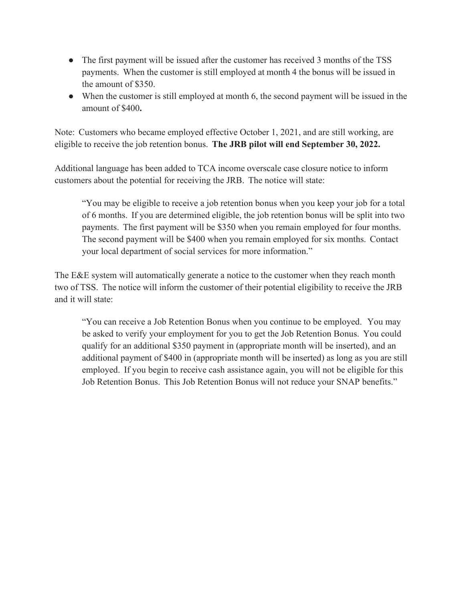- The first payment will be issued after the customer has received 3 months of the TSS payments. When the customer is still employed at month 4 the bonus will be issued in the amount of \$350.
- When the customer is still employed at month 6, the second payment will be issued in the amount of \$400**.**

Note: Customers who became employed effective October 1, 2021, and are still working, are eligible to receive the job retention bonus. **The JRB pilot will end September 30, 2022.**

Additional language has been added to TCA income overscale case closure notice to inform customers about the potential for receiving the JRB. The notice will state:

"You may be eligible to receive a job retention bonus when you keep your job for a total of 6 months. If you are determined eligible, the job retention bonus will be split into two payments. The first payment will be \$350 when you remain employed for four months. The second payment will be \$400 when you remain employed for six months. Contact your local department of social services for more information."

The E&E system will automatically generate a notice to the customer when they reach month two of TSS. The notice will inform the customer of their potential eligibility to receive the JRB and it will state:

"You can receive a Job Retention Bonus when you continue to be employed. You may be asked to verify your employment for you to get the Job Retention Bonus. You could qualify for an additional \$350 payment in (appropriate month will be inserted), and an additional payment of \$400 in (appropriate month will be inserted) as long as you are still employed. If you begin to receive cash assistance again, you will not be eligible for this Job Retention Bonus. This Job Retention Bonus will not reduce your SNAP benefits."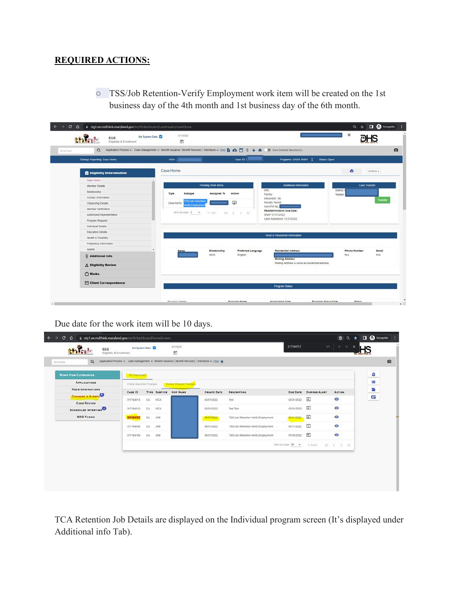#### **REQUIRED ACTIONS:**

○ TSS/Job Retention-Verify Employment work item will be created on the 1st business day of the 4th month and 1st business day of the 6th month.

| $\alpha$<br>Go to Cate           | Application Process - Case Management - Benefit Issuance Benefit Recovery Interfaces - Help & △□S ★ 命 ■ View Deleted Member(s) |                           |                       |                                                |                              |
|----------------------------------|--------------------------------------------------------------------------------------------------------------------------------|---------------------------|-----------------------|------------------------------------------------|------------------------------|
| Change Reporting: Case Home      | HOH J                                                                                                                          |                           | Case ID: 1            | Programs: CASH SNAP :<br>Status: Open          |                              |
| <b>Eligibility Determination</b> | Case Home                                                                                                                      |                           |                       |                                                | ē<br>Actions +               |
| Case Home                        |                                                                                                                                |                           |                       |                                                |                              |
| Member Details                   |                                                                                                                                | Pending Work Items        |                       | Additional Information                         | <b>Case Transfer</b>         |
| Relationship                     | Type<br>Subtype                                                                                                                | Assigned To               | IRN:<br>Action        | Facility.                                      | District:<br>Worker          |
| Contact Information              |                                                                                                                                |                           |                       | Interpreter: No                                | Transfer                     |
| Citizenship Details              | <b>SS/Job Retention</b><br>Case Alerts<br>lenty Employmen                                                                      |                           | $\Box$                | Penalty Period:                                |                              |
| Member Verification              |                                                                                                                                |                           |                       | HOH PIN No.<br>Redetermination Due Date:       |                              |
| Authorized Representative        | items per page 5                                                                                                               | $\pi$<br>$1 - 1011$<br>1< | $\mathcal{R}$<br>> 21 | SNAP 07/31/2022                                |                              |
| Program Request                  |                                                                                                                                |                           |                       | Cash Assistance 12/31/2022                     |                              |
| Individual Details               |                                                                                                                                |                           |                       |                                                |                              |
| <b>Education Details</b>         |                                                                                                                                |                           |                       |                                                |                              |
| Health & Disability              |                                                                                                                                |                           |                       | <b>Head of Household Information</b>           |                              |
| Pregnancy Information            |                                                                                                                                |                           |                       |                                                |                              |
| Assets                           | Name                                                                                                                           | Relationship              | Preferred Language    | Residential Address                            | <b>Phone Number</b><br>Email |
| <b>Q</b> Additional Info         |                                                                                                                                | HOH                       | English               | <b>Malling Address</b>                         | N/A<br>N/A                   |
| △ Eligibility Review             |                                                                                                                                |                           |                       | Mailing address is same as residential address |                              |
| Works                            |                                                                                                                                |                           |                       |                                                |                              |
| Client Correspondence            |                                                                                                                                |                           |                       |                                                |                              |

Due date for the work item will be 10 days.

| <b>WORK ITEM CATEGORIES</b>                      | My Dashboard            |     |            |                              |                    |                                     |                      |                               |                                                                    | ۵ |  |
|--------------------------------------------------|-------------------------|-----|------------|------------------------------|--------------------|-------------------------------------|----------------------|-------------------------------|--------------------------------------------------------------------|---|--|
| <b>APPLICATIONS</b>                              | Online Reported Changes |     |            | Worker Entered Changes       |                    |                                     |                      |                               |                                                                    | Ξ |  |
| <b>REDETERMINATIONS</b>                          | <b>CASE ID</b>          |     |            | <b>TYPE SUBTYPE HOH NAME</b> | <b>CREATE DATE</b> | <b>DESCRIPTION</b>                  |                      | <b>DUE DATE DISPOSE ALERT</b> | <b>ACTION</b>                                                      |   |  |
| <b>CHANGES &amp; ALERTS</b>                      | 317184013               | CA. | <b>WCA</b> |                              | 03/01/2022         | Test                                | 03/31/2022           | Ξ                             | $\circ$                                                            |   |  |
| <b>CASE REVIEW</b><br><b>SCHEDULED INTERVIEW</b> | 317184013               | CA  | <b>WCA</b> |                              | 03/01/2022         | <b>Test Test</b>                    | 03/31/2022           | Ξ                             | $\circ$                                                            |   |  |
| <b>MBR FORMS</b>                                 | 317184757               | CA  | <b>JRB</b> |                              | 06/01/2022         | TSS/Job Retention-Verify Employment | 06/11/2022           | $\Xi$                         | $\circ$                                                            |   |  |
|                                                  | 317184636               | CA  | <b>JRB</b> |                              | 06/01/2022         | TSS/Job Retention-Verify Employment | 06/11/2022           | $\Xi$                         | $\bullet$                                                          |   |  |
|                                                  | 317184169               | CA: | <b>JRB</b> |                              | 06/01/2022         | TSS/Job Retention-Verify Employment | 07/09/2022           | Ξ                             | $\circ$                                                            |   |  |
|                                                  |                         |     |            |                              |                    |                                     | items per page. 10 - | $1 - 5$ of 5                  | $\begin{array}{ccccccccc}\n1 & 1 & 1 & 1 & 1 & 1 & 1\n\end{array}$ |   |  |
|                                                  |                         |     |            |                              |                    |                                     |                      |                               |                                                                    |   |  |

TCA Retention Job Details are displayed on the Individual program screen (It's displayed under Additional info Tab).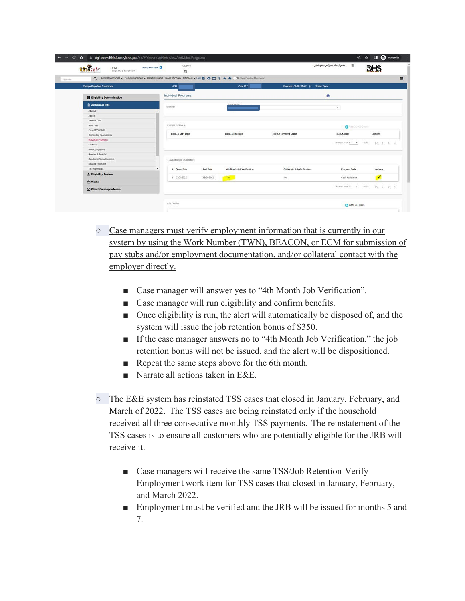|                                  |                                                                                                                                      |                            |                                       |                                                                                    | <b>DHS</b> |
|----------------------------------|--------------------------------------------------------------------------------------------------------------------------------------|----------------------------|---------------------------------------|------------------------------------------------------------------------------------|------------|
|                                  | Q Application Process - Case Management - Benefit Issuance Benefit Recovery   Interfaces - Histo 图 △ 图 S ★ 曲 图 Waw Deteted Member(s) |                            |                                       |                                                                                    |            |
| Change Reporting: Case Home      | <b>HOH:</b>                                                                                                                          | Case ID: 3                 | Programs: CASH SNAP  <br>Status: Open |                                                                                    |            |
| <b>Eligibility Determination</b> | Individual Programs                                                                                                                  |                            |                                       | e                                                                                  |            |
| <b>Il Additional Info</b>        | Member                                                                                                                               | <b>Choose Martier #</b>    |                                       |                                                                                    |            |
| <b>ABAIND</b>                    |                                                                                                                                      |                            |                                       | $\tau$                                                                             |            |
| Appeal                           |                                                                                                                                      |                            |                                       |                                                                                    |            |
| Archival Data                    |                                                                                                                                      |                            |                                       |                                                                                    |            |
| Audit Trail                      | EIDICS DETAILS:                                                                                                                      |                            |                                       | <b>O</b> ASSEDICE Details                                                          |            |
| Case Documents                   |                                                                                                                                      |                            |                                       |                                                                                    |            |
| Citizenship Sponsorship          | <b>EIDICS Start Date</b>                                                                                                             | <b>EIDICS End Date</b>     | <b>EIDICS Payment Status</b>          | <b>EIDICS</b> Type                                                                 | Actions    |
| Individual Programs              |                                                                                                                                      |                            |                                       |                                                                                    |            |
| Medicare                         |                                                                                                                                      |                            |                                       | temperate $\mathbf{S} = \mathbf{P}$ . Let $\mathbf{C} = \{C_1, C_2, \ldots, C_m\}$ |            |
| Non-Compliance                   |                                                                                                                                      |                            |                                       |                                                                                    |            |
| Roomer & Boarder                 |                                                                                                                                      |                            |                                       |                                                                                    |            |
| Sanctions/Disqualifications      | <b>TCA Retention Job Details</b>                                                                                                     |                            |                                       |                                                                                    |            |
| Spousal Resource                 |                                                                                                                                      |                            |                                       |                                                                                    |            |
| Tax Information                  | $\check{\phantom{a}}$<br>End Date<br># Begin Date                                                                                    | 4th Month Job Verification | 6th Month Job Verification            | Program Code                                                                       | Actions    |
| A Eligibility Review             |                                                                                                                                      |                            |                                       |                                                                                    |            |
| Works                            | 1 03/01/2022<br>09/30/2022                                                                                                           | Yes                        | No                                    | Cash Assistance                                                                    | ╭          |
| Client Correspondence            |                                                                                                                                      |                            |                                       | Newpersies 6 = 0.00 (C C D D)                                                      |            |

- Case managers must verify employment information that is currently in our system by using the Work Number (TWN), BEACON, or ECM for submission of pay stubs and/or employment documentation, and/or collateral contact with the employer directly.
	- Case manager will answer yes to "4th Month Job Verification".
	- Case manager will run eligibility and confirm benefits.
	- Once eligibility is run, the alert will automatically be disposed of, and the system will issue the job retention bonus of \$350.
	- If the case manager answers no to "4th Month Job Verification," the job retention bonus will not be issued, and the alert will be dispositioned.
	- Repeat the same steps above for the 6th month.
	- Narrate all actions taken in E&E.
- The E&E system has reinstated TSS cases that closed in January, February, and March of 2022. The TSS cases are being reinstated only if the household received all three consecutive monthly TSS payments. The reinstatement of the TSS cases is to ensure all customers who are potentially eligible for the JRB will receive it.
	- Case managers will receive the same TSS/Job Retention-Verify Employment work item for TSS cases that closed in January, February, and March 2022.
	- Employment must be verified and the JRB will be issued for months 5 and 7.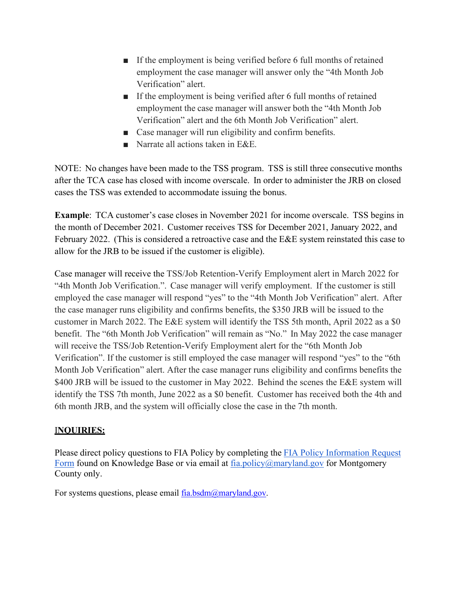- If the employment is being verified before 6 full months of retained employment the case manager will answer only the "4th Month Job Verification" alert.
- If the employment is being verified after 6 full months of retained employment the case manager will answer both the "4th Month Job Verification" alert and the 6th Month Job Verification" alert.
- Case manager will run eligibility and confirm benefits.
- Narrate all actions taken in E&E.

NOTE: No changes have been made to the TSS program. TSS is still three consecutive months after the TCA case has closed with income overscale. In order to administer the JRB on closed cases the TSS was extended to accommodate issuing the bonus.

**Example**: TCA customer's case closes in November 2021 for income overscale. TSS begins in the month of December 2021. Customer receives TSS for December 2021, January 2022, and February 2022. (This is considered a retroactive case and the E&E system reinstated this case to allow for the JRB to be issued if the customer is eligible).

Case manager will receive the TSS/Job Retention-Verify Employment alert in March 2022 for "4th Month Job Verification.". Case manager will verify employment. If the customer is still employed the case manager will respond "yes" to the "4th Month Job Verification" alert. After the case manager runs eligibility and confirms benefits, the \$350 JRB will be issued to the customer in March 2022. The E&E system will identify the TSS 5th month, April 2022 as a \$0 benefit. The "6th Month Job Verification" will remain as "No." In May 2022 the case manager will receive the TSS/Job Retention-Verify Employment alert for the "6th Month Job Verification". If the customer is still employed the case manager will respond "yes" to the "6th Month Job Verification" alert. After the case manager runs eligibility and confirms benefits the \$400 JRB will be issued to the customer in May 2022. Behind the scenes the E&E system will identify the TSS 7th month, June 2022 as a \$0 benefit. Customer has received both the 4th and 6th month JRB, and the system will officially close the case in the 7th month.

## I**NQUIRIES:**

Please direct policy questions to FIA Policy by completing the FIA Policy [Information](https://kb.dhs.maryland.gov/family-investment-administration/contact-us-with-your-fia-program-eligibility-policy-question/) Request [Form](https://kb.dhs.maryland.gov/family-investment-administration/contact-us-with-your-fia-program-eligibility-policy-question/) found on Knowledge Base or via email at [fia.policy@maryland.gov f](mailto:fia.policy@maryland.gov)or Montgomery County only.

For systems questions, please email [fia.bsdm@maryland.gov.](mailto:fia.bsdm@maryland.gov)